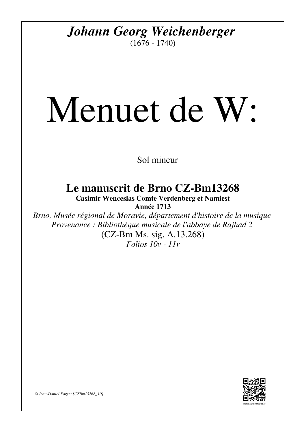## *Johann Georg Weichenberger*

 $(1676 - 1740)$ 

## Menuet de W:

Sol mineur

**Le manuscrit de Brno CZ-Bm13268**

**Casimir Wenceslas Comte Verdenberg et Namiest Année 1713**

*Brno, Musée régional de Moravie, département d'histoire de la musique Provenance : Bibliothèque musicale de l'abbaye de Rajhad 2* (CZ-Bm Ms. sig. A.13.268) *Folios 10v - 11r*



*© Jean-Daniel Forget [CZBm13268\_10]*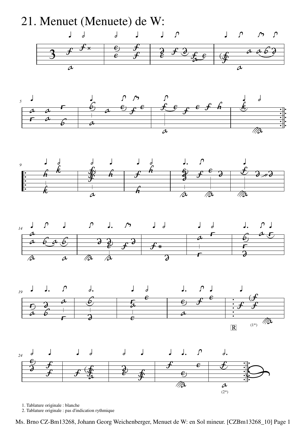

1. Tablature originale : blanche

2. Tablature originale : pas d'indication rythmique

Ms. Brno CZ-Bm13268, Johann Georg Weichenberger, Menuet de W: en Sol mineur. [CZBm13268\_10] Page 1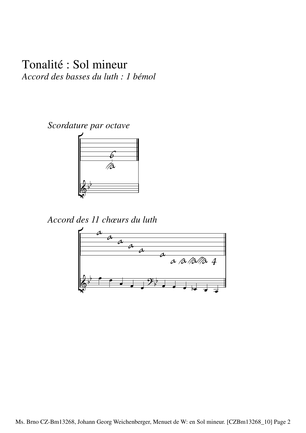## Tonalité : Sol mineur *Accord des basses du luth : 1 bémol*

*Scordature par octave*



*Accord des 11 chœurs du luth*